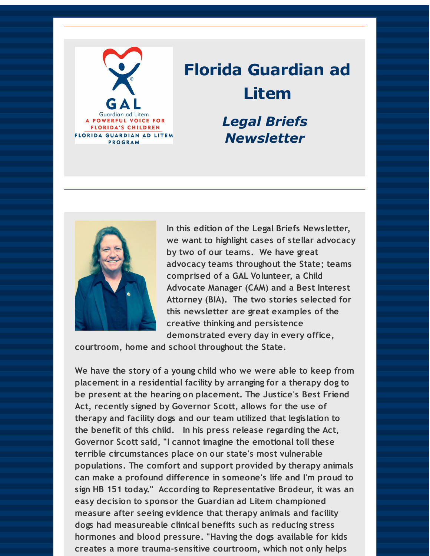

# **Florida Guardian ad Litem** *Legal Briefs Newsletter*



**In this edition of the Legal Briefs Newsletter, we want to highlight cases of stellar advocacy by two of our teams. We have great advocacy teams throughout the State; teams comprised of a GAL Volunteer, a Child Advocate Manager (CAM) and a Best Interest Attorney (BIA). The two stories selected for this newsletter are great examples of the creative thinking and persistence demonstrated every day in every office,**

**courtroom, home and school throughout the State.**

**We have the story of a young child who we were able to keep from placement in a residential facility by arranging for a therapy dog to be present at the hearing on placement. The Justice's Best Friend Act, recently signed by Governor Scott, allows for the use of therapy and facility dogs and our team utilized that legislation to the benefit of this child. In his press release regarding the Act, Governor Scott said, "I cannot imagine the emotional toll these terrible circumstances place on our state's most vulnerable populations. The comfort and support provided by therapy animals can make a profound difference in someone's life and I'm proud to sign HB 151 today." According to Representative Brodeur, it was an easy decision to sponsor the Guardian ad Litem championed measure after seeing evidence that therapy animals and facility dogs had measureable clinical benefits such as reducing stress hormones and blood pressure. "Having the dogs available for kids creates a more trauma-sensitive courtroom, which not only helps**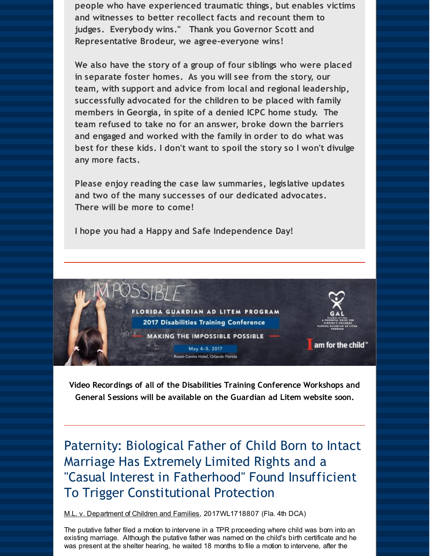**people who have experienced traumatic things, but enables victims and witnesses to better recollect facts and recount them to judges. Everybody wins." Thank you Governor Scott and Representative Brodeur, we agree-everyone wins!**

**We also have the story of a group of four siblings who were placed in separate foster homes. As you will see from the story, our team, with support and advice from local and regional leadership, successfully advocated for the children to be placed with family members in Georgia, in spite of a denied ICPC home study. The team refused to take no for an answer, broke down the barriers and engaged and worked with the family in order to do what was best for these kids. I don't want to spoil the story so I won't divulge any more facts.**

**Please enjoy reading the case law summaries, legislative updates and two of the many successes of our dedicated advocates. There will be more to come!**

**I hope you had a Happy and Safe Independence Day!**



**Video Recordings of all of the Disabilities Training Conference Workshops and General Sessions will be available on the Guardian ad Litem website soon.**

Paternity: Biological Father of Child Born to Intact Marriage Has Extremely Limited Rights and a "Casual Interest in Fatherhood" Found Insufficient To Trigger Constitutional Protection

M.L. v. Department of Children and Families, 2017WL1718807 (Fla. 4th DCA)

The putative father filed a motion to intervene in a TPR proceeding where child was born into an existing marriage. Although the putative father was named on the child's birth certificate and he was present at the shelter hearing, he waited 18 months to file a motion to intervene, after the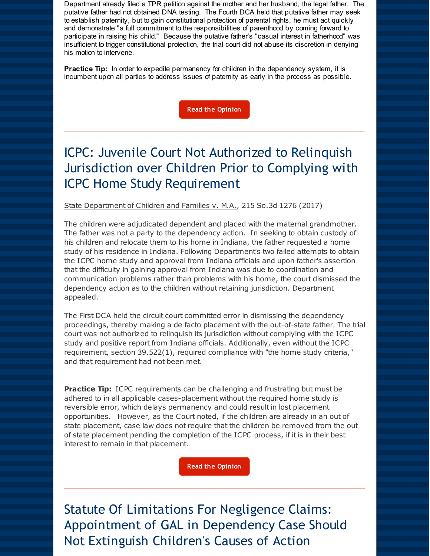Department already filed a TPR petition against the mother and her husband, the legal father. The putative father had not obtained DNA testing. The Fourth DCA held that putative father may seek to establish paternity, but to gain constitutional protection of parental rights, he must act quickly and demonstrate "a full commitment to the responsibilities of parenthood by coming forward to participate in raising his child." Because the putative father's "casual interest in fatherhood" was insufficient to trigger constitutional protection, the trial court did not abuse its discretion in denying his motion to intervene.

**Practice Tip:** In order to expedite permanency for children in the dependency system, it is incumbent upon all parties to address issues of paternity as early in the process as possible.

**Read the [Opinion](http://r20.rs6.net/tn.jsp?f=001dQbb5pdB1m-Cxgmhr56llqoU1sw0l5VSOdIUXNcotLxhgw9K2Vas1t2TrU7gmgP7c2F0iKDdhwIPRABrzLAMJS2yxR3ircigPOt0Ta63uPJ0LGVU9Tj3deZCeik6VC4k3h_EwWfu45QtfoXtTJRqVxxCI5RyhOIEoFgKg_TV8pGMMFSLIHYL0SKR0WQf-xhUEkdPXWoj-5Hjjb7fStV6lZztZH50aSYI9CO9Q9z0wICTjKx4vt37XQ==&c=&ch=)**

### ICPC: Juvenile Court Not Authorized to Relinquish Jurisdiction over Children Prior to Complying with ICPC Home Study Requirement

State Department of Children and Families v. M.A., 215 So.3d 1276 (2017)

The children were adjudicated dependent and placed with the maternal grandmother. The father was not a party to the dependency action. In seeking to obtain custody of his children and relocate them to his home in Indiana, the father requested a home study of his residence in Indiana. Following Department's two failed attempts to obtain the ICPC home study and approval from Indiana officials and upon father's assertion that the difficulty in gaining approval from Indiana was due to coordination and communication problems rather than problems with his home, the court dismissed the dependency action as to the children without retaining jurisdiction. Department appealed.

The First DCA held the circuit court committed error in dismissing the dependency proceedings, thereby making a de facto placement with the out-of-state father. The trial court was not authorized to relinquish its jurisdiction without complying with the ICPC study and positive report from Indiana officials. Additionally, even without the ICPC requirement, section 39.522(1), required compliance with "the home study criteria," and that requirement had not been met.

**Practice Tip:** ICPC requirements can be challenging and frustrating but must be adhered to in all applicable cases-placement without the required home study is reversible error, which delays permanency and could result in lost placement opportunities. However, as the Court noted, if the children are already in an out of state placement, case law does not require that the children be removed from the out of state placement pending the completion of the ICPC process, if it is in their best interest to remain in that placement.

**Read the [Opinion](http://r20.rs6.net/tn.jsp?f=001dQbb5pdB1m-Cxgmhr56llqoU1sw0l5VSOdIUXNcotLxhgw9K2Vas1t2TrU7gmgP7smzJREnJgGXfH8ygg96Hm6d4VwMSoRIAAV682Raa4xPzWWT4rdC8LKAkQoFRhOrM4nI8A9aDj6_uYmw4-BtxJyISYVAHCMUdDX5P6i6cCS_URCA1PC8LgTTlFq6UXZuO2gSF-5WjJxxa0jDOnU9p-5F3qXtG80QZCsBzgc15GVXV5ZXKv4N9Vw==&c=&ch=)**

Statute Of Limitations For Negligence Claims: Appointment of GAL in Dependency Case Should Not Extinguish Children's Causes of Action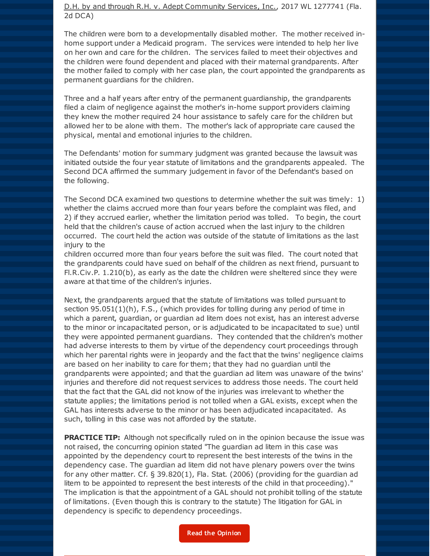#### D.H. by and through R.H. v. Adept Community Services, Inc., 2017 WL 1277741 (Fla. 2d DCA)

The children were born to a developmentally disabled mother. The mother received inhome support under a Medicaid program. The services were intended to help her live on her own and care for the children. The services failed to meet their objectives and the children were found dependent and placed with their maternal grandparents. After the mother failed to comply with her case plan, the court appointed the grandparents as permanent guardians for the children.

Three and a half years after entry of the permanent guardianship, the grandparents filed a claim of negligence against the mother's in-home support providers claiming they knew the mother required 24 hour assistance to safely care for the children but allowed her to be alone with them. The mother's lack of appropriate care caused the physical, mental and emotional injuries to the children.

The Defendants' motion for summary judgment was granted because the lawsuit was initiated outside the four year statute of limitations and the grandparents appealed. The Second DCA affirmed the summary judgement in favor of the Defendant's based on the following.

The Second DCA examined two questions to determine whether the suit was timely: 1) whether the claims accrued more than four years before the complaint was filed, and 2) if they accrued earlier, whether the limitation period was tolled. To begin, the court held that the children's cause of action accrued when the last injury to the children occurred. The court held the action was outside of the statute of limitations as the last injury to the

children occurred more than four years before the suit was filed. The court noted that the grandparents could have sued on behalf of the children as next friend, pursuant to Fl.R.Civ.P. 1.210(b), as early as the date the children were sheltered since they were aware at that time of the children's injuries.

Next, the grandparents argued that the statute of limitations was tolled pursuant to section  $95.051(1)(h)$ , F.S., (which provides for tolling during any period of time in which a parent, guardian, or guardian ad litem does not exist, has an interest adverse to the minor or incapacitated person, or is adjudicated to be incapacitated to sue) until they were appointed permanent guardians. They contended that the children's mother had adverse interests to them by virtue of the dependency court proceedings through which her parental rights were in jeopardy and the fact that the twins' negligence claims are based on her inability to care for them; that they had no guardian until the grandparents were appointed; and that the guardian ad litem was unaware of the twins' injuries and therefore did not request services to address those needs. The court held that the fact that the GAL did not know of the injuries was irrelevant to whether the statute applies; the limitations period is not tolled when a GAL exists, except when the GAL has interests adverse to the minor or has been adjudicated incapacitated. As such, tolling in this case was not afforded by the statute.

**PRACTICE TIP:** Although not specifically ruled on in the opinion because the issue was not raised, the concurring opinion stated "The guardian ad litem in this case was appointed by the dependency court to represent the best interests of the twins in the dependency case. The guardian ad litem did not have plenary powers over the twins for any other matter. Cf. § 39.820(1), Fla. Stat. (2006) (providing for the guardian ad litem to be appointed to represent the best interests of the child in that proceeding)." The implication is that the appointment of a GAL should not prohibit tolling of the statute of limitations. (Even though this is contrary to the statute) The litigation for GAL in dependency is specific to dependency proceedings.

**Read the [Opinion](http://r20.rs6.net/tn.jsp?f=001dQbb5pdB1m-Cxgmhr56llqoU1sw0l5VSOdIUXNcotLxhgw9K2Vas1r-KUsSM87kW6o8wILCRsqKrU9b-QtEBI_mFs36gNYWoL_2KGjr4brSMRe2o8bmHO0nDOjHxbPSzXAcD7rfuPs8Bx_BR7_xA7EdEt0nUgSS-krIWW2y5NcL0pZt5w6ZNBUc1TpRfZ1XIFNXqoVDs17Ik4MLhmKZIb90tlhxNFqjeqbcto9QMbvYAU_y1ObewjRzIQeY51oAC6js36g0Fo1fAIw_qRC6ile3nNbzvKqwL9NZGhznmIO0=&c=&ch=)**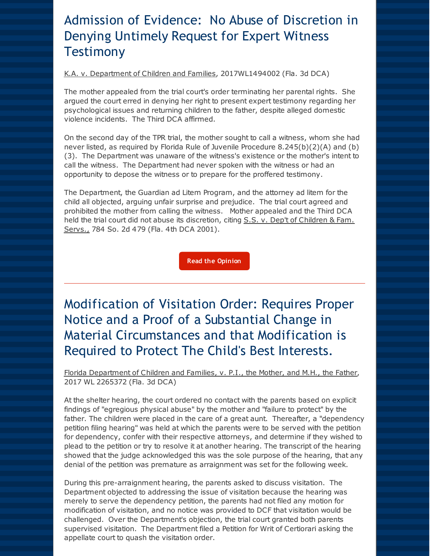### Admission of Evidence: No Abuse of Discretion in Denying Untimely Request for Expert Witness **Testimony**

K.A. v. Department of Children and Families, 2017WL1494002 (Fla. 3d DCA)

The mother appealed from the trial court's order terminating her parental rights. She argued the court erred in denying her right to present expert testimony regarding her psychological issues and returning children to the father, despite alleged domestic violence incidents. The Third DCA affirmed.

On the second day of the TPR trial, the mother sought to call a witness, whom she had never listed, as required by Florida Rule of Juvenile Procedure 8.245(b)(2)(A) and (b) (3). The Department was unaware of the witness's existence or the mother's intent to call the witness. The Department had never spoken with the witness or had an opportunity to depose the witness or to prepare for the proffered testimony.

The Department, the Guardian ad Litem Program, and the attorney ad litem for the child all objected, arguing unfair surprise and prejudice. The trial court agreed and prohibited the mother from calling the witness. Mother appealed and the Third DCA held the trial court did not abuse its discretion, citing S.S. v. Dep't of Children & Fam. Servs., 784 So. 2d 479 (Fla. 4th DCA 2001).

**Read the [Opinion](http://r20.rs6.net/tn.jsp?f=001dQbb5pdB1m-Cxgmhr56llqoU1sw0l5VSOdIUXNcotLxhgw9K2Vas1t2TrU7gmgP7175DeHhK9HRuetlwNr_HLCQ2R7zSBfSmMhY0LhsBv6dSR1OBAz_REXSTgEobf2bEsk8ULqAi-Gg9jaIbWMkkZKkoIE3yo_5mM7G38Loh2EmJw5xtozml4HVKdYbcsOoAmfX7QK-I_DMMtD-p4ofVJw==&c=&ch=)**

Modification of Visitation Order: Requires Proper Notice and a Proof of a Substantial Change in Material Circumstances and that Modification is Required to Protect The Child's Best Interests.

Florida Department of Children and Families, v. P.I., the Mother, and M.H., the Father, 2017 WL 2265372 (Fla. 3d DCA)

At the shelter hearing, the court ordered no contact with the parents based on explicit findings of "egregious physical abuse" by the mother and "failure to protect" by the father. The children were placed in the care of a great aunt. Thereafter, a "dependency petition filing hearing" was held at which the parents were to be served with the petition for dependency, confer with their respective attorneys, and determine if they wished to plead to the petition or try to resolve it at another hearing. The transcript of the hearing showed that the judge acknowledged this was the sole purpose of the hearing, that any denial of the petition was premature as arraignment was set for the following week.

During this pre-arraignment hearing, the parents asked to discuss visitation. The Department objected to addressing the issue of visitation because the hearing was merely to serve the dependency petition, the parents had not filed any motion for modification of visitation, and no notice was provided to DCF that visitation would be challenged. Over the Department's objection, the trial court granted both parents supervised visitation. The Department filed a Petition for Writ of Certiorari asking the appellate court to quash the visitation order.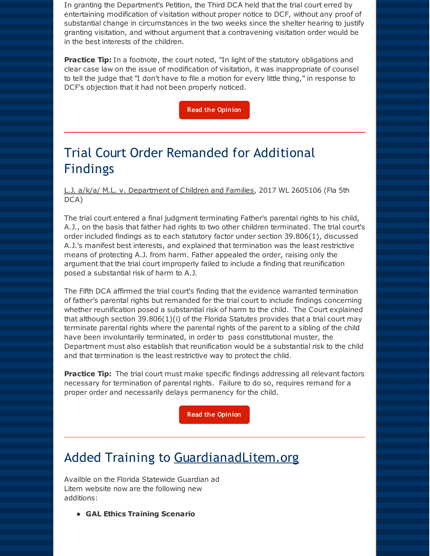In granting the Department's Petition, the Third DCA held that the trial court erred by entertaining modification of visitation without proper notice to DCF, without any proof of substantial change in circumstances in the two weeks since the shelter hearing to justify granting visitation, and without argument that a contravening visitation order would be in the best interests of the children.

**Practice Tip:** In a footnote, the court noted, "In light of the statutory obligations and clear case law on the issue of modification of visitation, it was inappropriate of counsel to tell the judge that "I don't have to file a motion for every little thing," in response to DCF's objection that it had not been properly noticed.

**Read the [Opinion](http://r20.rs6.net/tn.jsp?f=001dQbb5pdB1m-Cxgmhr56llqoU1sw0l5VSOdIUXNcotLxhgw9K2Vas1t2TrU7gmgP7Q-AFecBkRgR9SkkFdypIkihOa18cTFTssIUyCqsgtQWgLCm61yaNFM3dIaoWZw9DWi8RYNXW4d_W1b-sf5uEhmZhSvMQFyB0ZP3DH6Q79-UjxBOMQ0I7cht6U35oH0C-qkeDAXr2L9guLG2Ob4BwWw==&c=&ch=)**

### Trial Court Order Remanded for Additional Findings

L.J. a/k/a/ M.L. v. Department of Children and Families, 2017 WL 2605106 (Fla 5th DCA)

The trial court entered a final judgment terminating Father's parental rights to his child, A.J., on the basis that father had rights to two other children terminated. The trial court's order included findings as to each statutory factor under section 39.806(1), discussed A.J.'s manifest best interests, and explained that termination was the least restrictive means of protecting A.J. from harm. Father appealed the order, raising only the argument that the trial court improperly failed to include a finding that reunification posed a substantial risk of harm to A.J.

The Fifth DCA affirmed the trial court's finding that the evidence warranted termination of father's parental rights but remanded for the trial court to include findings concerning whether reunification posed a substantial risk of harm to the child. The Court explained that although section 39.806(1)(i) of the Florida Statutes provides that a trial court may terminate parental rights where the parental rights of the parent to a sibling of the child have been involuntarily terminated, in order to pass constitutional muster, the Department must also establish that reunification would be a substantial risk to the child and that termination is the least restrictive way to protect the child.

**Practice Tip:** The trial court must make specific findings addressing all relevant factors necessary for termination of parental rights. Failure to do so, requires remand for a proper order and necessarily delays permanency for the child.

**Read the [Opinion](http://r20.rs6.net/tn.jsp?f=001dQbb5pdB1m-Cxgmhr56llqoU1sw0l5VSOdIUXNcotLxhgw9K2Vas1t2TrU7gmgP7Z0fJaPV98CFOQyYXesBlpz9Z_SqImY9JkKVEEzpoQ0Uy0BxnOjcSSSHzi1RdDIy4ndA39IORuFyeASMVkGfIzwosC7H5hQIM1JGgI-sGo0sJuJWaLWGy38YadL1eiHRYHgIOovGz3gvy4oD7LRmb9hA3vSfTnVGQLW0vlWQT7w0=&c=&ch=)**

### Added Training to GuardianadLitem.org

Availble on the Florida Statewide Guardian ad Litem website now are the following new additions:

**GAL Ethics Training Scenario**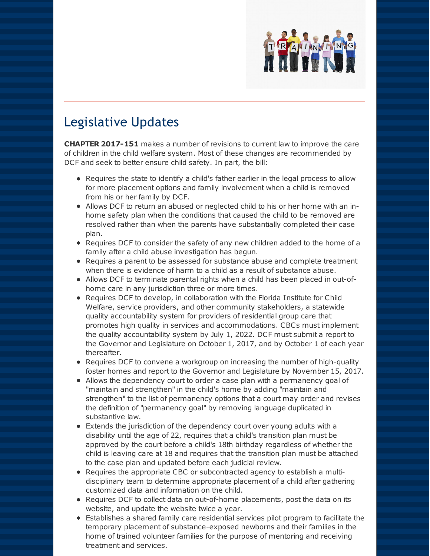

#### Legislative Updates

**CHAPTER 2017-151** makes a number of revisions to current law to improve the care of children in the child welfare system. Most of these changes are recommended by DCF and seek to better ensure child safety. In part, the bill:

- Requires the state to identify a child's father earlier in the legal process to allow for more placement options and family involvement when a child is removed from his or her family by DCF.
- Allows DCF to return an abused or neglected child to his or her home with an inhome safety plan when the conditions that caused the child to be removed are resolved rather than when the parents have substantially completed their case plan.
- Requires DCF to consider the safety of any new children added to the home of a family after a child abuse investigation has begun.
- Requires a parent to be assessed for substance abuse and complete treatment when there is evidence of harm to a child as a result of substance abuse.
- Allows DCF to terminate parental rights when a child has been placed in out-ofhome care in any jurisdiction three or more times.
- Requires DCF to develop, in collaboration with the Florida Institute for Child Welfare, service providers, and other community stakeholders, a statewide quality accountability system for providers of residential group care that promotes high quality in services and accommodations. CBCs must implement the quality accountability system by July 1, 2022. DCF must submit a report to the Governor and Legislature on October 1, 2017, and by October 1 of each year thereafter.
- Requires DCF to convene a workgroup on increasing the number of high-quality foster homes and report to the Governor and Legislature by November 15, 2017.
- Allows the dependency court to order a case plan with a permanency goal of "maintain and strengthen" in the child's home by adding "maintain and strengthen" to the list of permanency options that a court may order and revises the definition of "permanency goal" by removing language duplicated in substantive law.
- Extends the jurisdiction of the dependency court over young adults with a disability until the age of 22, requires that a child's transition plan must be approved by the court before a child's 18th birthday regardless of whether the child is leaving care at 18 and requires that the transition plan must be attached to the case plan and updated before each judicial review.
- Requires the appropriate CBC or subcontracted agency to establish a multidisciplinary team to determine appropriate placement of a child after gathering customized data and information on the child.
- Requires DCF to collect data on out-of-home placements, post the data on its website, and update the website twice a year.
- Establishes a shared family care residential services pilot program to facilitate the temporary placement of substance-exposed newborns and their families in the home of trained volunteer families for the purpose of mentoring and receiving treatment and services.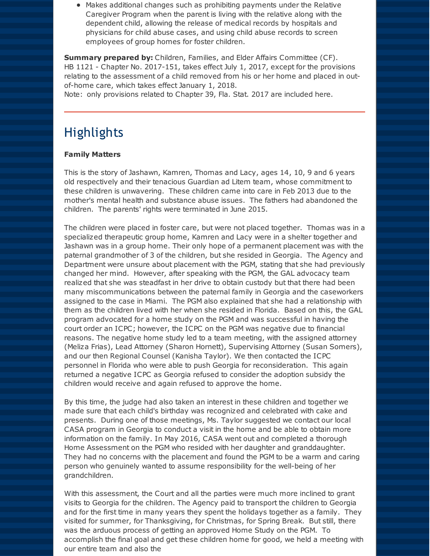Makes additional changes such as prohibiting payments under the Relative Caregiver Program when the parent is living with the relative along with the dependent child, allowing the release of medical records by hospitals and physicians for child abuse cases, and using child abuse records to screen employees of group homes for foster children.

**Summary prepared by:** Children, Families, and Elder Affairs Committee (CF). HB 1121 - Chapter No. 2017-151, takes effect July 1, 2017, except for the provisions relating to the assessment of a child removed from his or her home and placed in outof-home care, which takes effect January 1, 2018.

Note: only provisions related to Chapter 39, Fla. Stat. 2017 are included here.

#### **Highlights**

#### **Family Matters**

This is the story of Jashawn, Kamren, Thomas and Lacy, ages 14, 10, 9 and 6 years old respectively and their tenacious Guardian ad Litem team, whose commitment to these children is unwavering. These children came into care in Feb 2013 due to the mother's mental health and substance abuse issues. The fathers had abandoned the children. The parents' rights were terminated in June 2015.

The children were placed in foster care, but were not placed together. Thomas was in a specialized therapeutic group home, Kamren and Lacy were in a shelter together and Jashawn was in a group home. Their only hope of a permanent placement was with the paternal grandmother of 3 of the children, but she resided in Georgia. The Agency and Department were unsure about placement with the PGM, stating that she had previously changed her mind. However, after speaking with the PGM, the GAL advocacy team realized that she was steadfast in her drive to obtain custody but that there had been many miscommunications between the paternal family in Georgia and the caseworkers assigned to the case in Miami. The PGM also explained that she had a relationship with them as the children lived with her when she resided in Florida. Based on this, the GAL program advocated for a home study on the PGM and was successful in having the court order an ICPC; however, the ICPC on the PGM was negative due to financial reasons. The negative home study led to a team meeting, with the assigned attorney (Meliza Frias), Lead Attorney (Sharon Hornett), Supervising Attorney (Susan Somers), and our then Regional Counsel (Kanisha Taylor). We then contacted the ICPC personnel in Florida who were able to push Georgia for reconsideration. This again returned a negative ICPC as Georgia refused to consider the adoption subsidy the children would receive and again refused to approve the home.

By this time, the judge had also taken an interest in these children and together we made sure that each child's birthday was recognized and celebrated with cake and presents. During one of those meetings, Ms. Taylor suggested we contact our local CASA program in Georgia to conduct a visit in the home and be able to obtain more information on the family. In May 2016, CASA went out and completed a thorough Home Assessment on the PGM who resided with her daughter and granddaughter. They had no concerns with the placement and found the PGM to be a warm and caring person who genuinely wanted to assume responsibility for the well-being of her grandchildren.

With this assessment, the Court and all the parties were much more inclined to grant visits to Georgia for the children. The Agency paid to transport the children to Georgia and for the first time in many years they spent the holidays together as a family. They visited for summer, for Thanksgiving, for Christmas, for Spring Break. But still, there was the arduous process of getting an approved Home Study on the PGM. To accomplish the final goal and get these children home for good, we held a meeting with our entire team and also the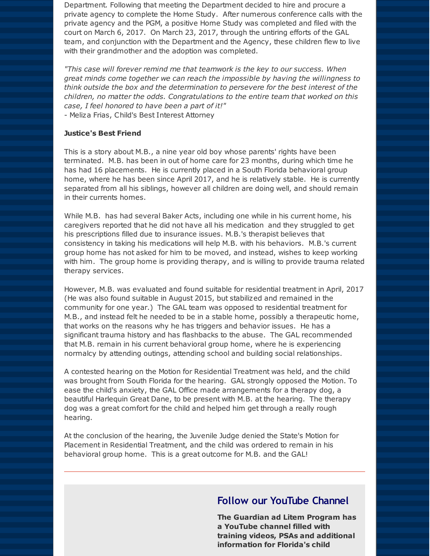Department. Following that meeting the Department decided to hire and procure a private agency to complete the Home Study. After numerous conference calls with the private agency and the PGM, a positive Home Study was completed and filed with the court on March 6, 2017. On March 23, 2017, through the untiring efforts of the GAL team, and conjunction with the Department and the Agency, these children flew to live with their grandmother and the adoption was completed.

*"This case will forever remind me that teamwork is the key to our success. When great minds come together we can reach the impossible by having the willingness to think outside the box and the determination to persevere for the best interest of the children, no matter the odds. Congratulations to the entire team that worked on this case, I feel honored to have been a part of it!"* - Meliza Frias, Child's Best Interest Attorney

#### **Justice's Best Friend**

This is a story about M.B., a nine year old boy whose parents' rights have been terminated. M.B. has been in out of home care for 23 months, during which time he has had 16 placements. He is currently placed in a South Florida behavioral group home, where he has been since April 2017, and he is relatively stable. He is currently separated from all his siblings, however all children are doing well, and should remain in their currents homes.

While M.B. has had several Baker Acts, including one while in his current home, his caregivers reported that he did not have all his medication and they struggled to get his prescriptions filled due to insurance issues. M.B.'s therapist believes that consistency in taking his medications will help M.B. with his behaviors. M.B.'s current group home has not asked for him to be moved, and instead, wishes to keep working with him. The group home is providing therapy, and is willing to provide trauma related therapy services.

However, M.B. was evaluated and found suitable for residential treatment in April, 2017 (He was also found suitable in August 2015, but stabilized and remained in the community for one year.) The GAL team was opposed to residential treatment for M.B., and instead felt he needed to be in a stable home, possibly a therapeutic home, that works on the reasons why he has triggers and behavior issues. He has a significant trauma history and has flashbacks to the abuse. The GAL recommended that M.B. remain in his current behavioral group home, where he is experiencing normalcy by attending outings, attending school and building social relationships.

A contested hearing on the Motion for Residential Treatment was held, and the child was brought from South Florida for the hearing. GAL strongly opposed the Motion. To ease the child's anxiety, the GAL Office made arrangements for a therapy dog, a beautiful Harlequin Great Dane, to be present with M.B. at the hearing. The therapy dog was a great comfort for the child and helped him get through a really rough hearing.

At the conclusion of the hearing, the Juvenile Judge denied the State's Motion for Placement in Residential Treatment, and the child was ordered to remain in his behavioral group home. This is a great outcome for M.B. and the GAL!

#### **Follow our YouTube Channel**

**The Guardian ad Litem Program has a YouTube channel filled with training videos, PSAs and additional information for Florida's child**